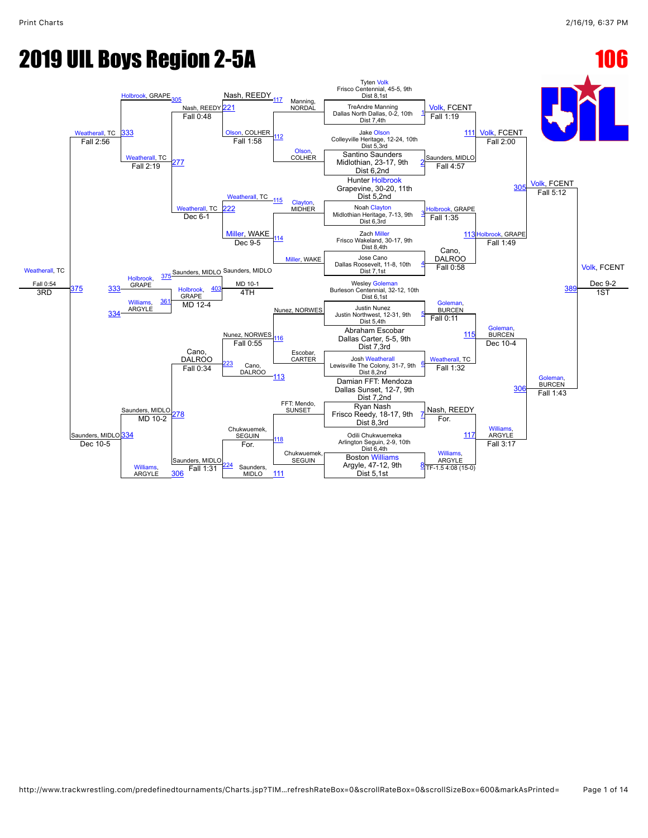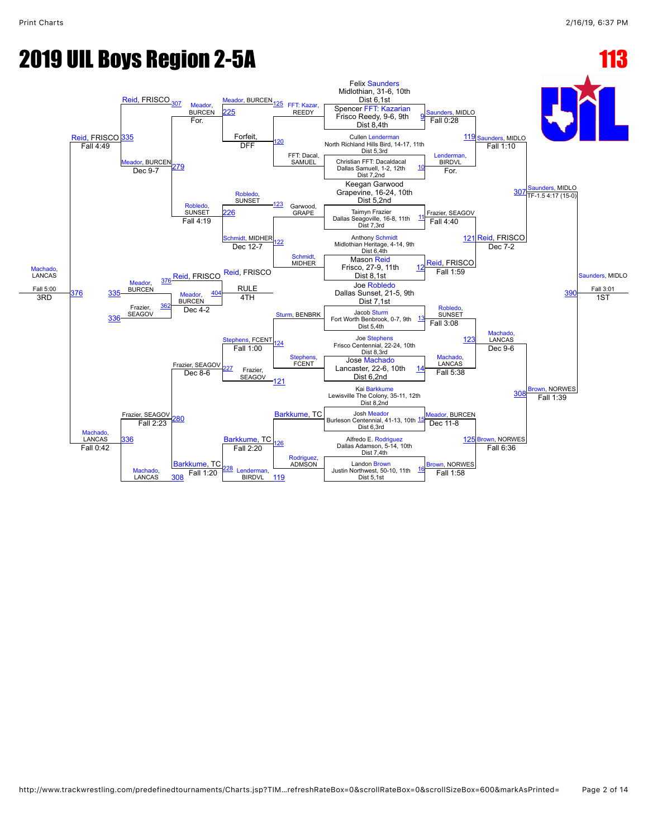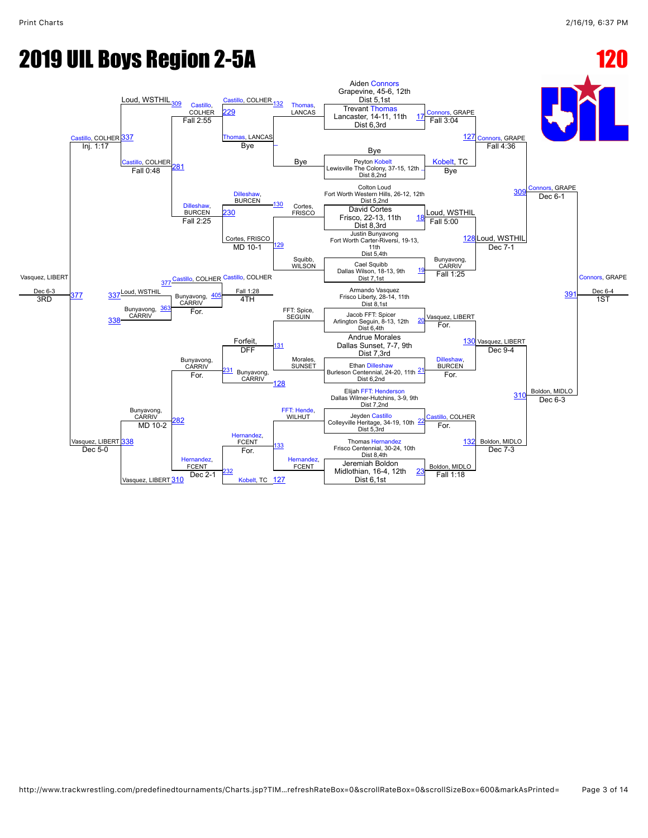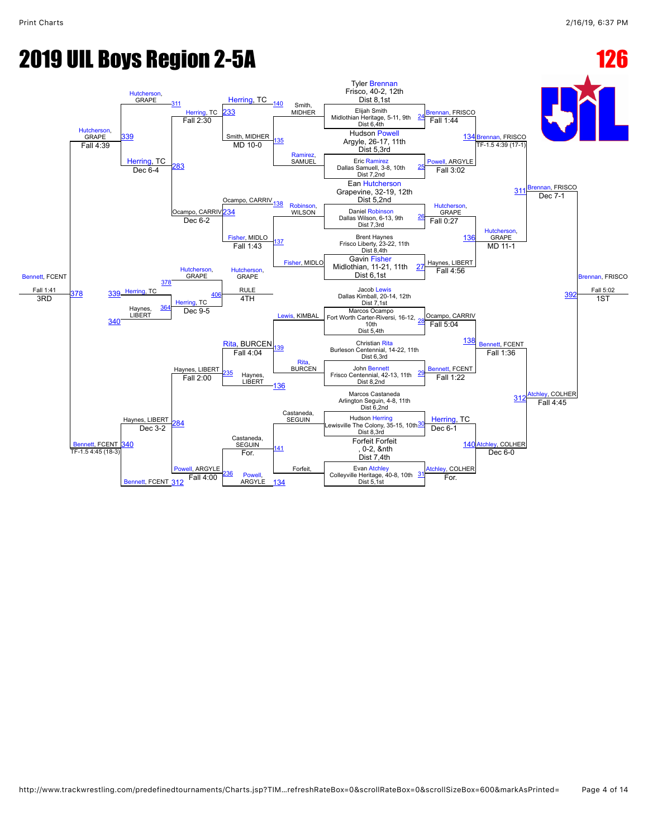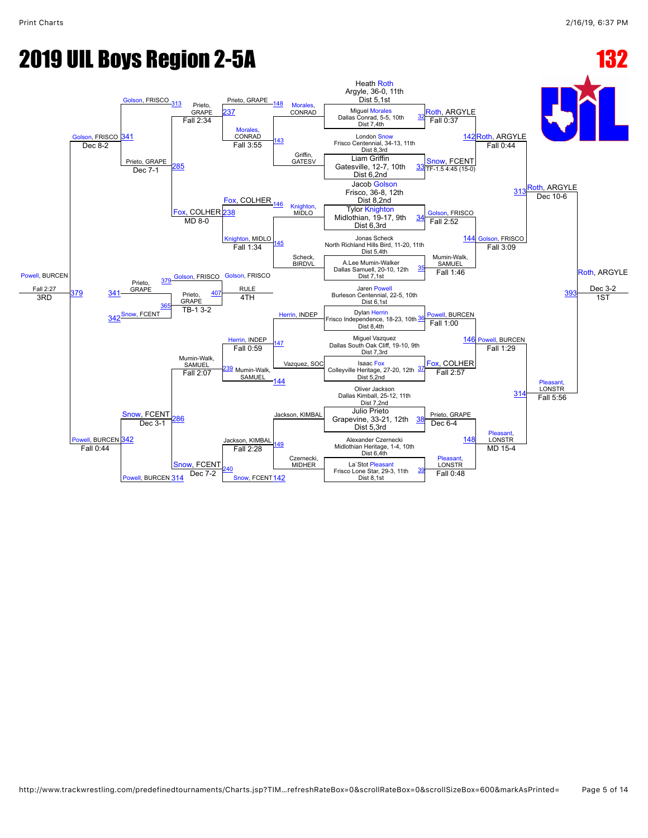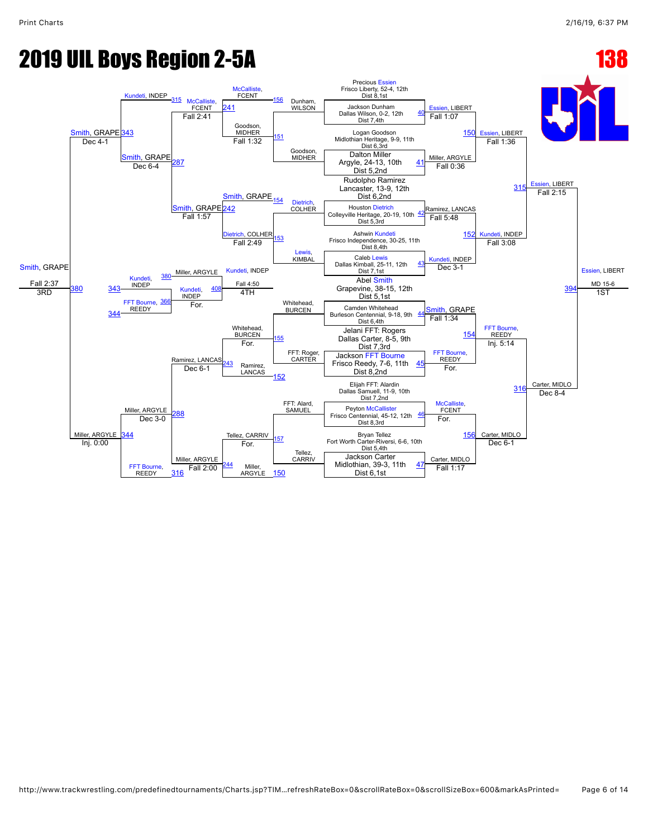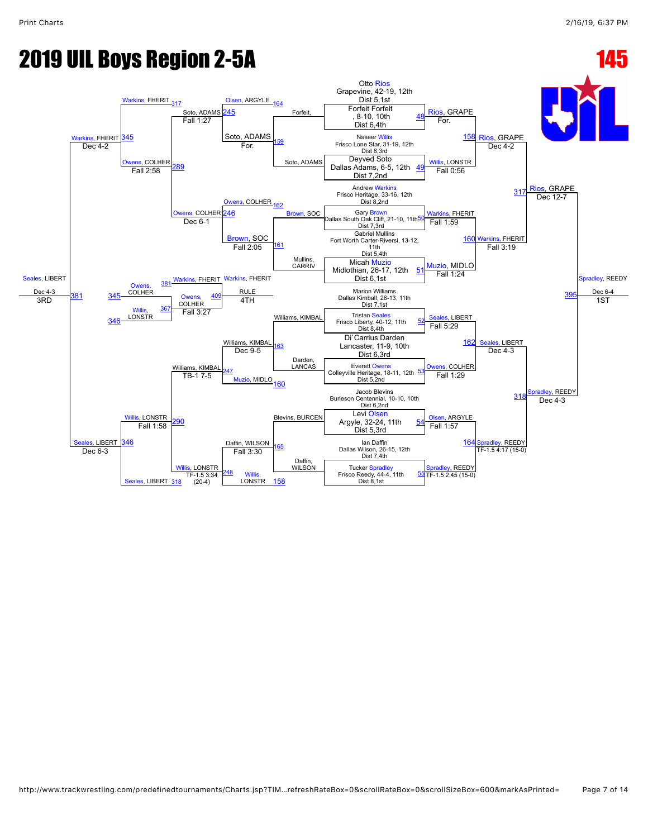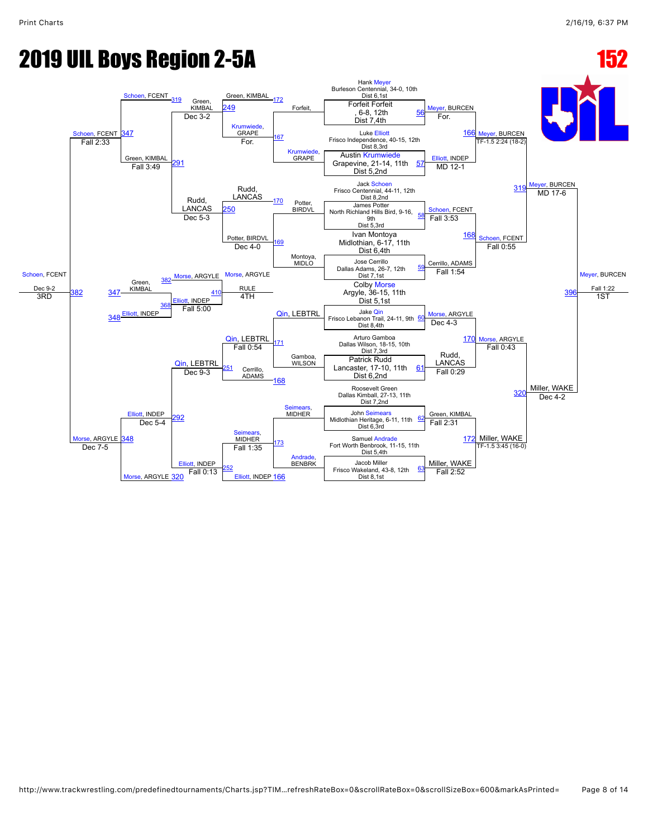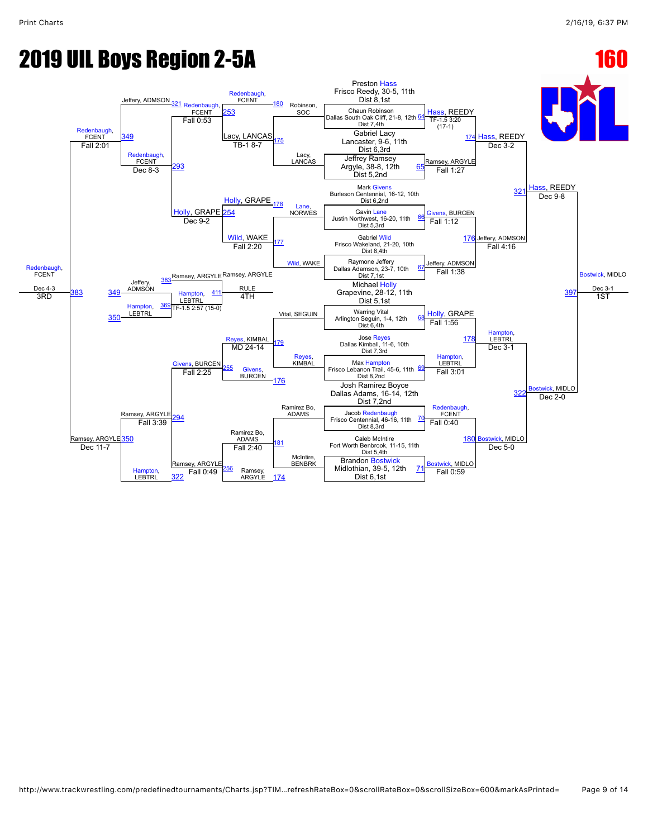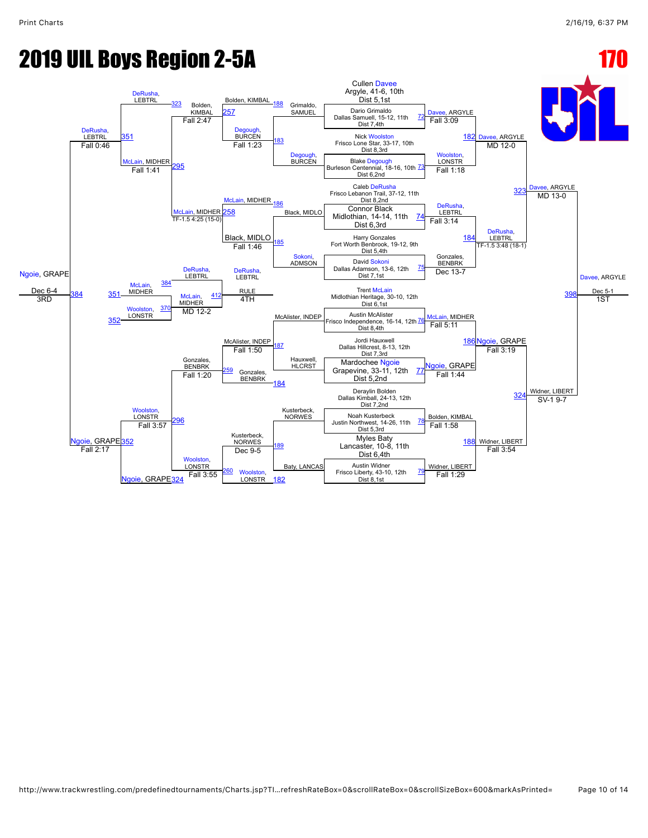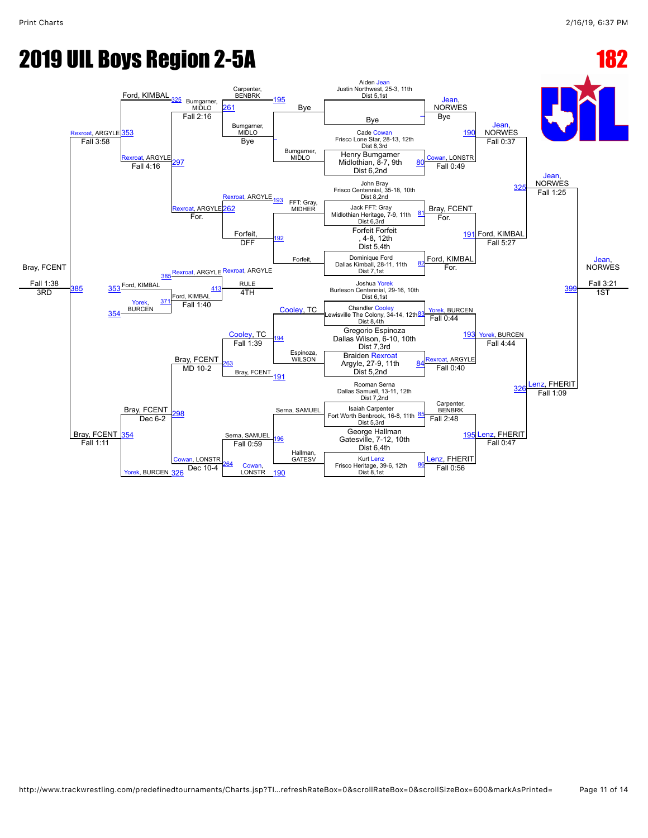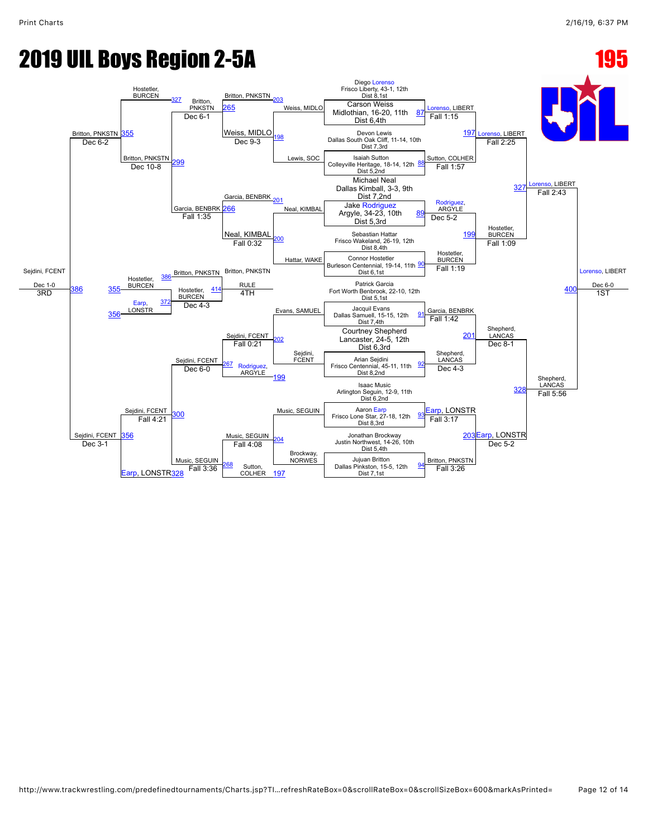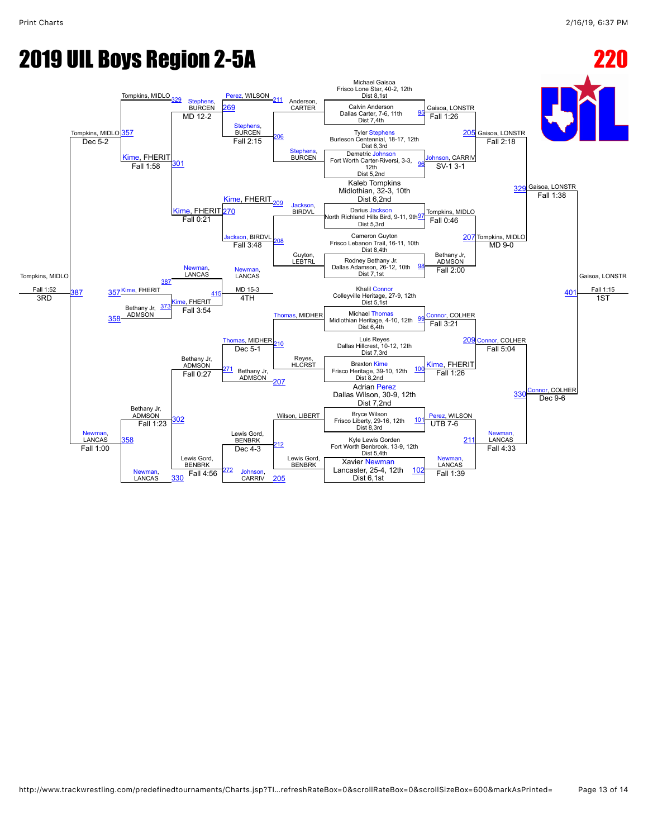